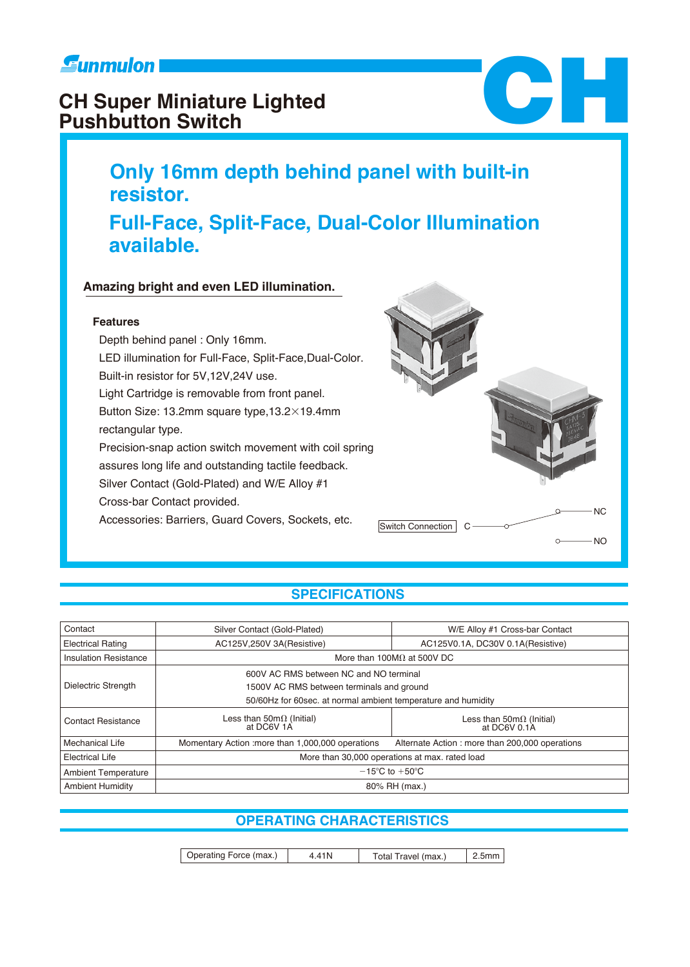# **Eunmulon**

# **CH Super Miniature Lighted Pushbutton Switch**

# **Only 16mm depth behind panel with built-in CHE**

# **Full-Face, Split-Face, Dual-Color Illumination available.**

## **Amazing bright and even LED illumination.**

## **Features**

**resistor.**

 Depth behind panel : Only 16mm. LED illumination for Full-Face, Split-Face,Dual-Color. Built-in resistor for 5V,12V,24V use. Light Cartridge is removable from front panel. Button Size: 13.2mm square type,  $13.2\times19.4$ mm rectangular type. Precision-snap action switch movement with coil spring assures long life and outstanding tactile feedback. Silver Contact (Gold-Plated) and W/E Alloy #1 Cross-bar Contact provided. Accessories: Barriers, Guard Covers, Sockets, etc.



## **SPECIFICATIONS**

| Contact                      | Silver Contact (Gold-Plated)                                  | W/E Alloy #1 Cross-bar Contact                          |  |  |  |  |  |  |
|------------------------------|---------------------------------------------------------------|---------------------------------------------------------|--|--|--|--|--|--|
| <b>Electrical Rating</b>     | AC125V,250V 3A(Resistive)                                     | AC125V0.1A, DC30V 0.1A(Resistive)                       |  |  |  |  |  |  |
| <b>Insulation Resistance</b> |                                                               | More than 100M $\Omega$ at 500V DC                      |  |  |  |  |  |  |
|                              | 600V AC RMS between NC and NO terminal                        |                                                         |  |  |  |  |  |  |
| Dielectric Strength          | 1500V AC RMS between terminals and ground                     |                                                         |  |  |  |  |  |  |
|                              | 50/60Hz for 60sec. at normal ambient temperature and humidity |                                                         |  |  |  |  |  |  |
| <b>Contact Resistance</b>    | Less than $50 \text{m}\Omega$ (Initial)<br>at DC6V 1A         | Less than $50 \text{m}\Omega$ (Initial)<br>at DC6V 0.1A |  |  |  |  |  |  |
| Mechanical Life              | Momentary Action : more than 1,000,000 operations             | Alternate Action: more than 200,000 operations          |  |  |  |  |  |  |
| <b>Electrical Life</b>       |                                                               | More than 30,000 operations at max. rated load          |  |  |  |  |  |  |
| <b>Ambient Temperature</b>   | $-15^{\circ}$ C to $+50^{\circ}$ C                            |                                                         |  |  |  |  |  |  |
| <b>Ambient Humidity</b>      |                                                               | 80% RH (max.)                                           |  |  |  |  |  |  |

## **OPERATING CHARACTERISTICS**

 Operating Force (max.) 4.41N Total Travel (max.) 2.5mm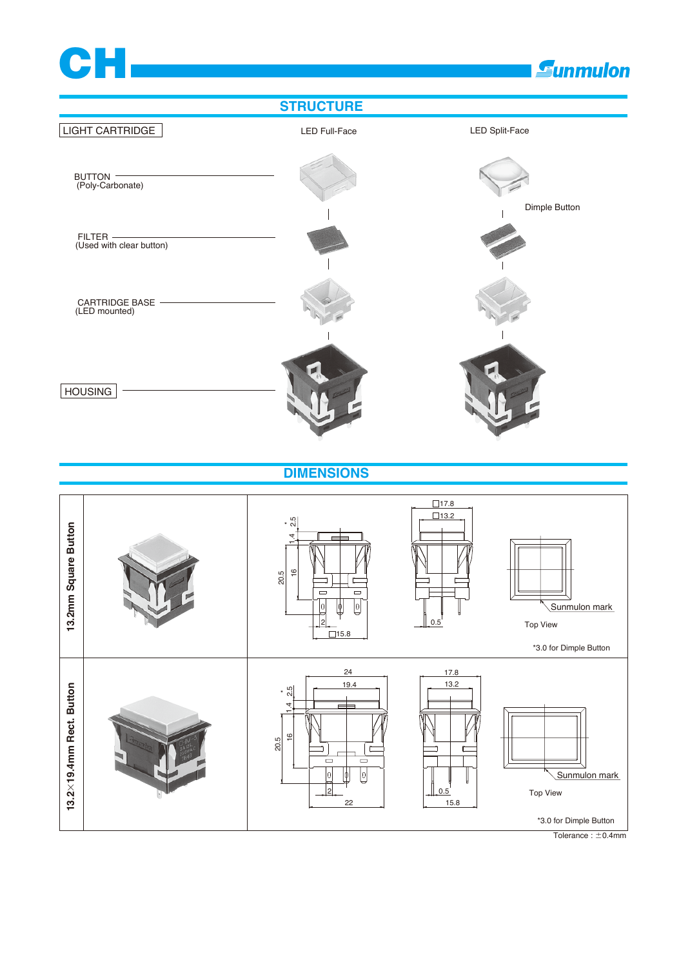



 $\overline{\text{Tolerance}: \pm 0.4 \text{mm}}$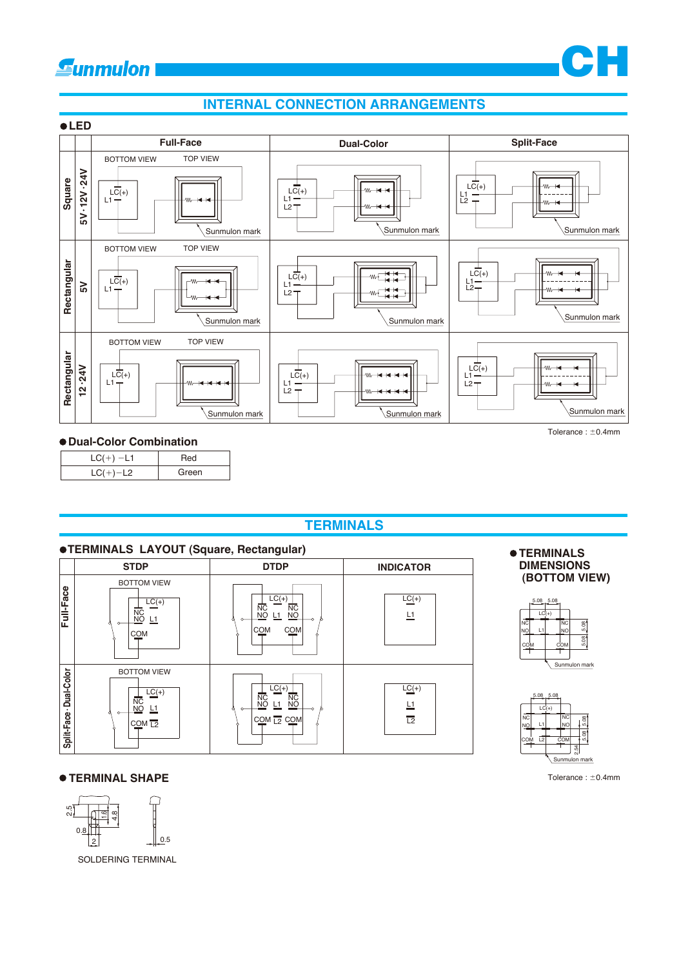





#### **Dual-Color Combination**

| $-11$ |       |
|-------|-------|
| - 72  | Green |

## **TERMINALS**



#### **TERMINALS DIMENSIONS (BOTTOM VIEW)**





#### **TERMINAL SHAPE**



SOLDERING TERMINAL

Tolerance :  $\pm$ 0.4mm

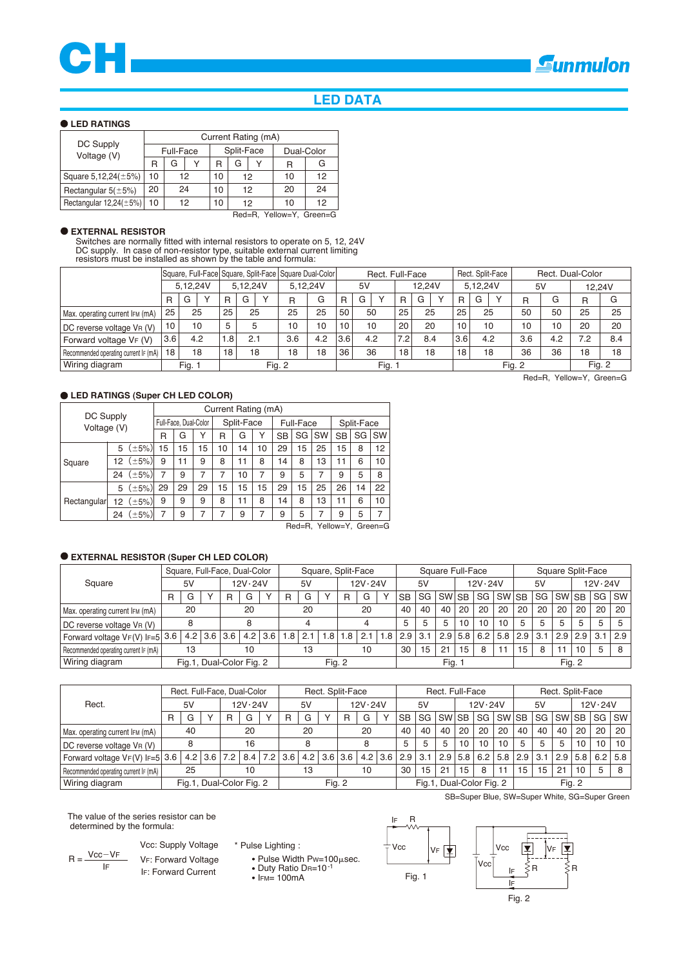

## **LED DATA**

#### **LED RATINGS**

|                              | Current Rating (mA) |                      |    |                |            |    |            |    |  |  |  |  |  |
|------------------------------|---------------------|----------------------|----|----------------|------------|----|------------|----|--|--|--|--|--|
| DC Supply<br>Voltage (V)     |                     | <b>Full-Face</b>     |    |                | Split-Face |    | Dual-Color |    |  |  |  |  |  |
|                              | R                   | G                    |    | R              | G          |    | R          | G  |  |  |  |  |  |
| Square $5,12,24(\pm 5\%)$    | 10                  |                      | 12 | 10             |            | 12 | 10         | 12 |  |  |  |  |  |
| Rectangular $5(\pm 5\%)$     | 20                  | 20<br>10<br>24<br>12 |    |                |            |    | 24         |    |  |  |  |  |  |
| Rectangular $12,24(\pm 5\%)$ | 10                  | 12                   |    | 10<br>12<br>10 |            |    | 12         |    |  |  |  |  |  |

Red=R, Yellow=Y, Green=G

#### **EXTERNAL RESISTOR**

Switches are normally fitted with internal resistors to operate on 5, 12, 24V DC supply. In case of non-resistor type, suitable external current limiting resistors must be installed as shown by the table and formula:

|                                       |     |          |           |       |          |            | Square, Full-Face  Square, Split-Face   Square Dual-Color |     | Rect. Full-Face |      |  |        |     |  |          |     | Rect. Split-Face | Rect. Dual-Color |     |        |     |  |
|---------------------------------------|-----|----------|-----------|-------|----------|------------|-----------------------------------------------------------|-----|-----------------|------|--|--------|-----|--|----------|-----|------------------|------------------|-----|--------|-----|--|
|                                       |     | 5.12.24V |           |       | 5.12.24V |            | 5.12.24V                                                  |     | 5V              |      |  | 12.24V |     |  | 5.12.24V |     |                  | 5V               |     | 12.24V |     |  |
|                                       | R   | G        | $\sqrt{}$ | R     | G        | $\sqrt{ }$ | $\mathsf{R}$                                              | G   | R               | G    |  | R      | G   |  | R        | G   | $\sqrt{}$        | R                | G   | R      | G   |  |
| Max. operating current IFM (mA)       | 25  |          | 25        | 25    | 25       |            | 25                                                        | 25  | 50              | 50   |  | 25     | 25  |  | 25       | 25  |                  | 50               | 50  | 25     | 25  |  |
| DC reverse voltage VR (V)             | 10  |          | 10        | 5     | 5        |            | 10                                                        | 10  | 10              | 10   |  | 20     | 20  |  | 10       | 10  |                  | 10               | 10  | 20     | 20  |  |
| Forward voltage VF (V)                | 3.6 |          | 4.2       | . .8' | 2.1      |            | 3.6                                                       | 4.2 | 3.6             | 4.2  |  | 7.2    | 8.4 |  | 3.6      | 4.2 |                  | 3.6              | 4.2 | 7.2    | 8.4 |  |
| Recommended operating current IF (mA) | 18  |          | 18        | 18    | 18       |            | 18                                                        | 18  | 36              | 36   |  | 18     | 18  |  | 18<br>18 |     |                  | 36               | 36  | 18     | 18  |  |
| Wiring diagram                        |     | Fig. 1   |           |       |          |            | Fig. 2                                                    |     |                 | Fig. |  |        |     |  |          |     |                  | Fig. 2           |     | Fig. 2 |     |  |

#### **LED RATINGS (Super CH LED COLOR)**

|             |                          |                | Current Rating (mA) |                       |    |    |            |    |           |                  |           |            |    |           |  |  |
|-------------|--------------------------|----------------|---------------------|-----------------------|----|----|------------|----|-----------|------------------|-----------|------------|----|-----------|--|--|
|             | DC Supply<br>Voltage (V) |                |                     | Full-Face, Dual-Color |    |    | Split-Face |    |           | <b>Full-Face</b> |           | Split-Face |    |           |  |  |
|             |                          |                | R                   | G                     | Υ  | R  | G          | Υ  | <b>SB</b> | SG               | <b>SW</b> | SB         | SG | <b>SW</b> |  |  |
|             | 5                        | $(\pm 5\%)$    | 15                  | 15                    | 15 | 10 | 14         | 10 | 29        | 15               | 25        | 15         | 8  | 12        |  |  |
| Square      | 12                       | $(\pm 5\%)$    | 9                   | 11                    | 9  | 8  | 11         | 8  | 14        | 8                | 13        | 11         | 6  | 10        |  |  |
|             | 24                       | $(\pm 5\%)$    | 7                   | 9                     | 7  |    | 10         | 7  | 9         | 5                |           | 9          | 5  | 8         |  |  |
|             | 5                        | $(\pm 5\%)$    | 29                  | 29                    | 29 | 15 | 15         | 15 | 29        | 15               | 25        | 26         | 14 | 22        |  |  |
| Rectangular |                          | 12 $(\pm 5\%)$ | 9                   | 9                     | 9  | 8  | 11         | 8  | 14        | 8                | 13        | 11         | 6  | 10        |  |  |
|             | 24                       | $(\pm 5\%)$    | 7                   | 9                     | 7  | 7  | 9          | 7  | 9         | 5                |           | 9          | 5  | 7         |  |  |

Red=R, Yellow=Y, Green=G

#### **EXTERNAL RESISTOR (Super CH LED COLOR)**

|                                       |   | Square, Full-Face, Dual-Color |  |               |         |     | Square, Split-Face |     |         |        |     |     | Square Full-Face |     |       |     |     |              |                 |     |           | Square Split-Face |                 |     |
|---------------------------------------|---|-------------------------------|--|---------------|---------|-----|--------------------|-----|---------|--------|-----|-----|------------------|-----|-------|-----|-----|--------------|-----------------|-----|-----------|-------------------|-----------------|-----|
| Square                                |   | 5V                            |  |               | 12V.24V |     | 5V                 |     | 12V.24V |        | 5V  |     | 12V.24V          |     |       |     | 5V  |              | 12V.24V         |     |           |                   |                 |     |
|                                       | R | G                             |  | R             | G       |     | R                  | G   |         | R      | G   |     | <b>SB</b>        | SG  | SW SB |     | SG  | <b>SW SB</b> |                 | SG  | <b>SW</b> | <b>SB</b>         | SG <sub>1</sub> | SW  |
| Max. operating current IFM (mA)       |   | 20                            |  |               | 20      |     | 20                 |     | 20      |        | 40  | 40  | 40               | 20  | 20    | 20  | 20  | 20           | 20 <sub>1</sub> | 20  | 20        | 20                |                 |     |
| DC reverse voltage VR (V)             |   |                               |  |               |         |     |                    |     |         |        |     |     | 5                | 5   | 10    | 10  | 10  | 5            | 5               | 5   | 5         | 5                 | .5              |     |
| Forward voltage VF(V) IF=5 3.6        |   |                               |  | $4.2$ 3.6 3.6 | 4.2     | 3.6 | 1.8                | 2.1 | 1.8     | 1.8    | 2.1 | 1.8 | 2.9              | 3.1 | 2.9   | 5.8 | 6.2 | 5.8          | 2.9             | 3.1 |           | $2.9$   2.9       | 3.1             | 2.9 |
| Recommended operating current IF (mA) |   | 13                            |  |               | 10      |     |                    | 13  |         |        | 10  |     | 30               | 15  | 21    | 15  | 8   |              | 15              | 8   | 11        | 10                |                 | 8   |
| Wiring diagram                        |   | Fig.1, Dual-Color Fig. 2      |  |               |         |     |                    |     |         | Fig. 2 |     |     | Fig. 1           |     |       |     |     |              | Fig. 2          |     |           |                   |                 |     |

|                                       |   | Rect. Full-Face, Dual-Color |                          |     |         |     |     | Rect. Split-Face |  |           |         |           |                          | Rect. Full-Face |           |           |         |       |        |     |       | Rect. Split-Face |     |                 |
|---------------------------------------|---|-----------------------------|--------------------------|-----|---------|-----|-----|------------------|--|-----------|---------|-----------|--------------------------|-----------------|-----------|-----------|---------|-------|--------|-----|-------|------------------|-----|-----------------|
| Rect.                                 |   | 5V                          |                          |     | 12V.24V |     |     | 5V               |  |           | 12V.24V |           | 5V                       |                 |           |           | 12V.24V |       | 5V     |     |       | 12V.24V          |     |                 |
|                                       | R | G                           |                          | R   | G       |     | R   | G                |  | R         | G       |           | <b>SB</b>                | SG              | <b>SW</b> | <b>SB</b> | SG      | SW SB |        | SG  | SW SB |                  | SG  | <b>SW</b>       |
| Max. operating current IFM (mA)       |   | 40                          |                          |     | 20      |     |     | 20               |  |           | 20      |           |                          | 40              | 40        | 20        | 20      | 20    | 40     | 40  | 40    | 20               | 20  | 20              |
| DC reverse voltage VR (V)             |   |                             |                          |     | 16      |     |     | 8                |  | 8         |         |           | 5                        | 5.              | 5         | 10        | 10      | 10    |        | 5   | 5     | 10               | 10  | 10 <sup>1</sup> |
| Forward voltage $V_F(V)$ IF=5 3.6     |   | 4.2                         | 3.6 <sub>1</sub>         | 7.2 | 8.4     | 7.2 | 3.6 | 4.2              |  | $3.6$ 3.6 |         | $4.2$ 3.6 | 2.9                      | 3.1             | 2.9       | 5.8       | 6.2     | 5.8   | 2.9    | 3.1 | 2.9   | 5.8              | 6.2 | 5.8             |
| Recommended operating current IF (mA) |   | 25                          |                          |     | 10      |     |     | 13               |  |           | 10      |           | 30                       | 15              | 21        | 15        | 8       | 11    | 15     | 15  | 21    | 10               | 5   | 8               |
| Wiring diagram                        |   |                             | Fig.1, Dual-Color Fig. 2 |     |         |     |     |                  |  | Fig. $2$  |         |           | Fig.1, Dual-Color Fig. 2 |                 |           |           |         |       | Fig. 2 |     |       |                  |     |                 |

The value of the series resistor can be determined by the formula:

 $R = \frac{Vcc - VF}{V}$ IF

 Vcc: Supply Voltage IF: Forward Current VF: Forward Voltage

\* Pulse Lighting :

 $\frac{Vcc-VF}{F}$  VF: Forward Voltage • Pulse Width Pw=100 usec.<br>
IF Le: Forward Current • Duty Ratio DR=10<sup>-1</sup>

Duty Ratio DR=10-1

IFM= 100mA





SB=Super Blue, SW=Super White, SG=Super Green

Fig. 2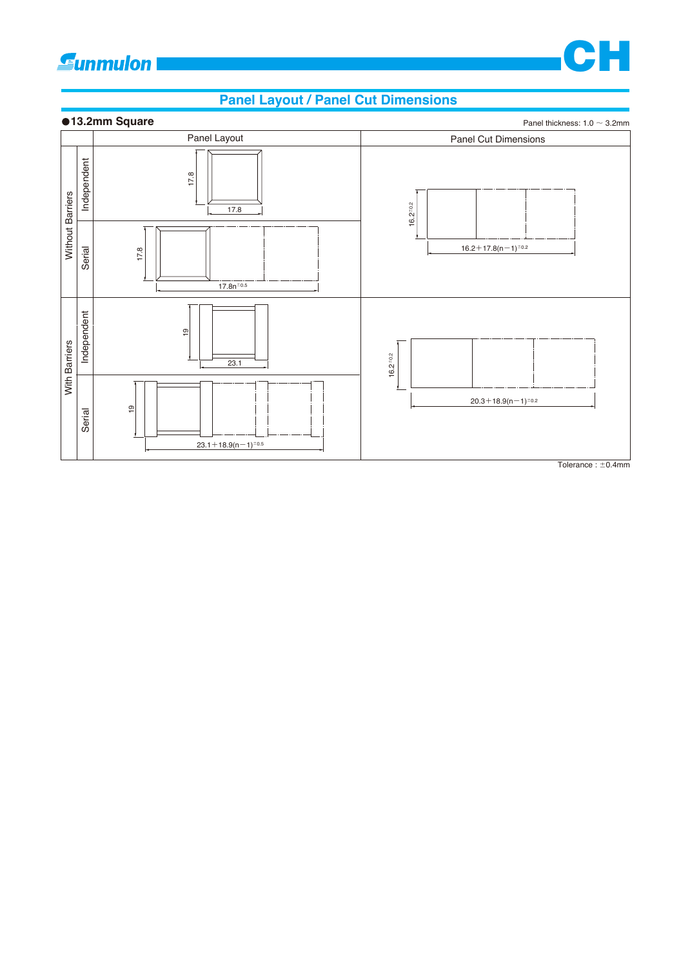

## **Panel Layout / Panel Cut Dimensions**



 $\overline{\text{Tolerance}: \pm 0.4 \text{mm}}$ 

CH H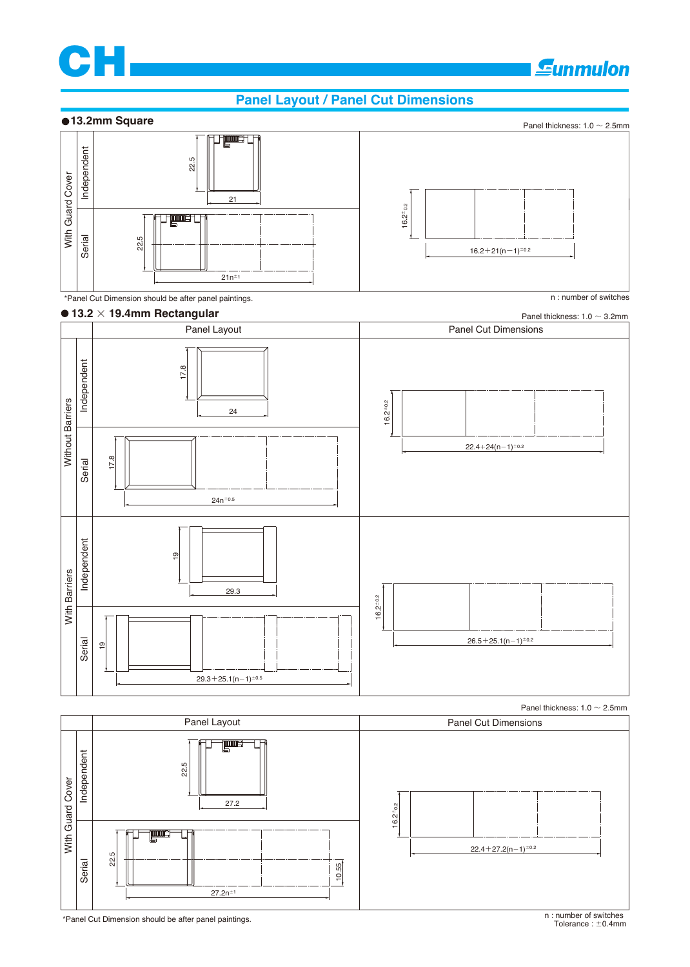

## **Gunmulon**

## **Panel Layout / Panel Cut Dimensions**

## **13.2mm Square**





#### \*Panel Cut Dimension should be after panel paintings. n : number of switches



Panel thickness:  $1.0 \sim 2.5$ mm

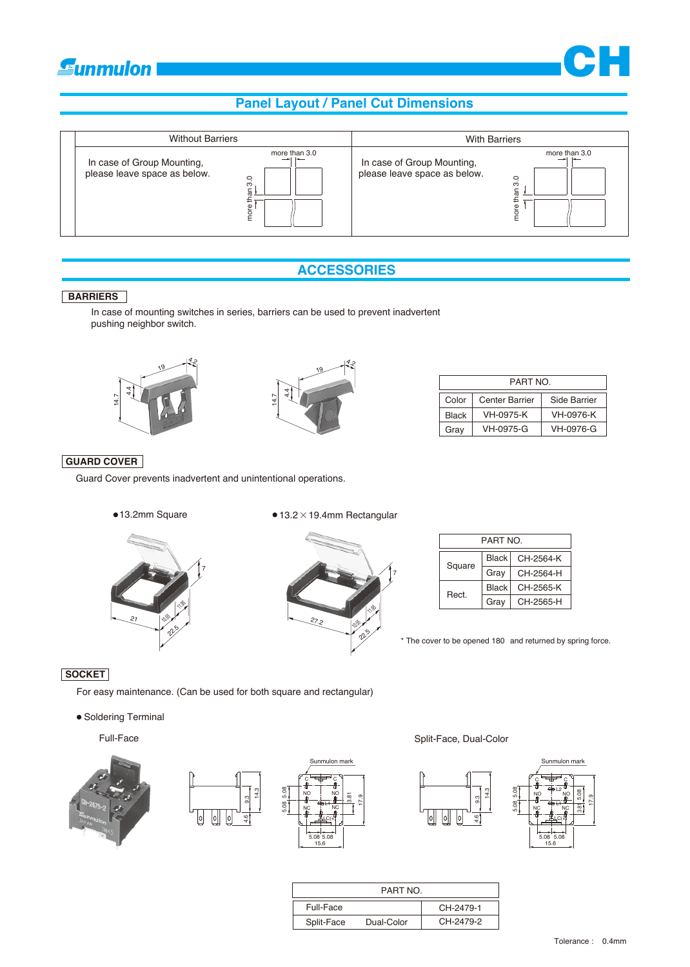# *<u>Eunmulon</u>*

## **Panel Layout / Panel Cut Dimensions**



## **ACCESSORIES**

#### **BARRIERS**

In case of mounting switches in series, barriers can be used to prevent inadvertent pushing neighbor switch.





| PART NO. |                       |              |  |  |  |  |  |  |  |
|----------|-----------------------|--------------|--|--|--|--|--|--|--|
| Color    | <b>Center Barrier</b> | Side Barrier |  |  |  |  |  |  |  |
| Black    | VH-0975-K             | VH-0976-K    |  |  |  |  |  |  |  |
| Gray     | VH-0975-G             | VH-0976-G    |  |  |  |  |  |  |  |

**CH** 

## **GUARD COVER**

Guard Cover prevents inadvertent and unintentional operations.

13.2mm Square

#### $• 13.2 \times 19.4$ mm Rectangular





| PART NO. |       |           |  |  |  |  |  |  |  |
|----------|-------|-----------|--|--|--|--|--|--|--|
|          | Black | CH-2564-K |  |  |  |  |  |  |  |
| Square   | Gray  | CH-2564-H |  |  |  |  |  |  |  |
| Rect     | Black | CH-2565-K |  |  |  |  |  |  |  |
|          | Grav  | CH-2565-H |  |  |  |  |  |  |  |

\* The cover to be opened 180 and returned by spring force.

## **SOCKET**

For easy maintenance. (Can be used for both square and rectangular)

• Soldering Terminal

Full-Face





#### Split-Face, Dual-Color



|            | PART NO.   |           |
|------------|------------|-----------|
| Full-Face  |            | CH-2479-1 |
| Split-Face | Dual-Color | CH-2479-2 |

17.9

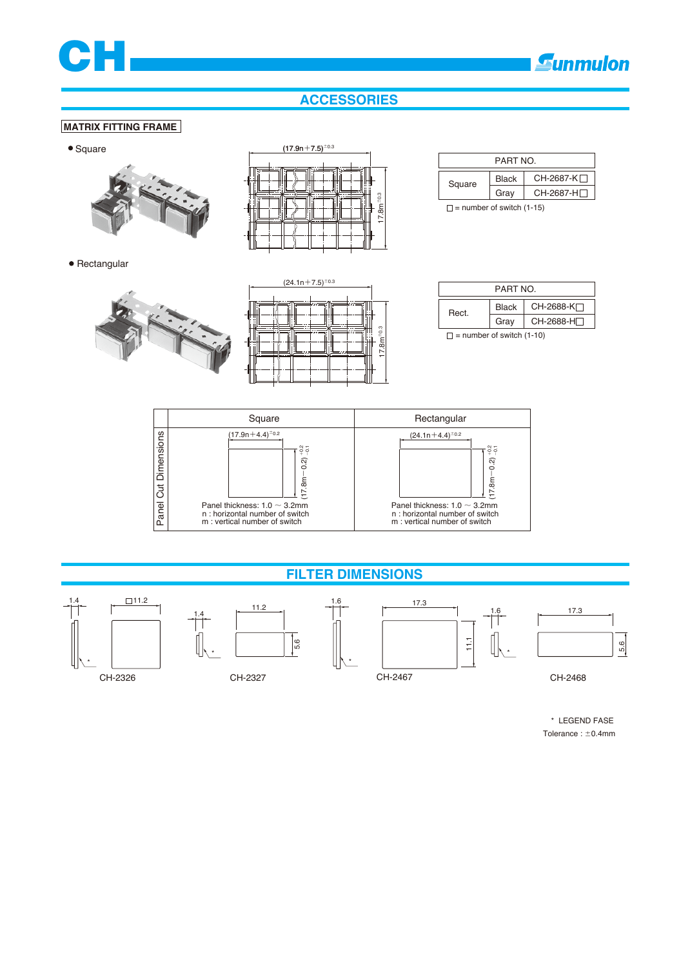

## **ACCESSORIES**

#### **MATRIX FITTING FRAME**

#### • Square



 $(17.9n+7.5)^{\pm0.3}$  $17.8m<sup>±</sup>$ 

|        | PART NO. |            |
|--------|----------|------------|
| Square | Black    | CH-2687-K∏ |
|        | Gray     | CH-2687-H  |
|        |          | .          |

 $\Box$  = number of switch (1-15)

• Rectangular



| $(24.1n+7.5)^{\pm0.3}$ |
|------------------------|
| $17.8m+0.3$            |

| PART NO                                                                                                       |              |            |  |  |
|---------------------------------------------------------------------------------------------------------------|--------------|------------|--|--|
| Rect.                                                                                                         | <b>Black</b> | CH-2688-K⊡ |  |  |
|                                                                                                               | Gray         | CH-2688-H⊟ |  |  |
| ۱۸۱ هـ است. از موالي باشد باشد به موالي باشده و باشده و موالي باشد و موالي باشد و موالي باشد و است. و موالي ا |              |            |  |  |

 $\Box$  = number of switch (1-10)



## **FILTER DIMENSIONS**



 \* LEGEND FASE Tolerance :  $\pm$ 0.4mm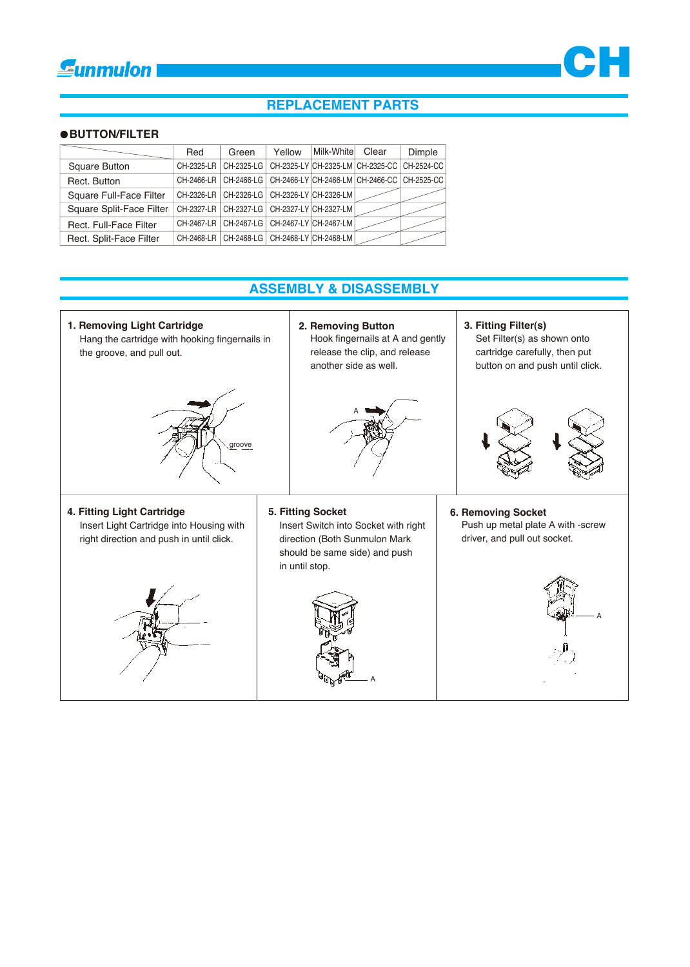



## **REPLACEMENT PARTS**

## **BUTTON/FILTER**

|                          | Red | Green                                                                       | Yellow | Milk-White | Clear                            | Dimple     |
|--------------------------|-----|-----------------------------------------------------------------------------|--------|------------|----------------------------------|------------|
| <b>Square Button</b>     |     | CH-2325-LR CH-2325-LG                                                       |        |            | CH-2325-LY CH-2325-LM CH-2325-CC | CH-2524-CC |
| Rect. Button             |     | CH-2466-LR   CH-2466-LG   CH-2466-LY   CH-2466-LM   CH-2466-CC   CH-2525-CC |        |            |                                  |            |
| Square Full-Face Filter  |     | CH-2326-LR   CH-2326-LG   CH-2326-LY CH-2326-LM                             |        |            |                                  |            |
| Square Split-Face Filter |     | CH-2327-LR CH-2327-LG CH-2327-LY CH-2327-LM                                 |        |            |                                  |            |
| Rect. Full-Face Filter   |     | CH-2467-LR CH-2467-LG CH-2467-LY CH-2467-LM                                 |        |            |                                  |            |
| Rect. Split-Face Filter  |     | CH-2468-LR   CH-2468-LG   CH-2468-LY   CH-2468-LM                           |        |            |                                  |            |

## **ASSEMBLY & DISASSEMBLY**

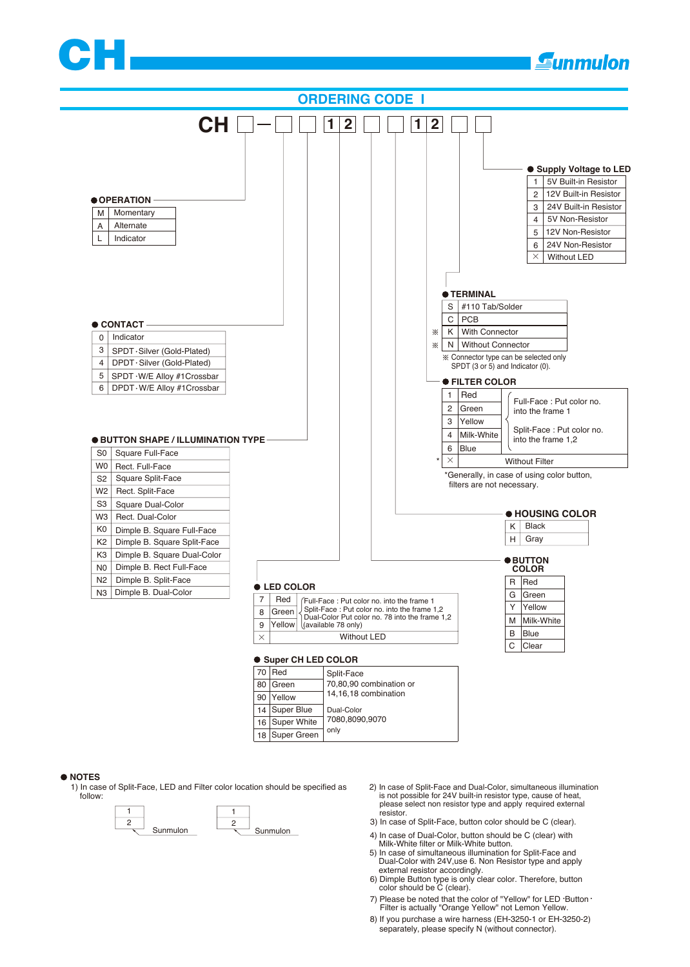



16 18 7080,8090,9070 only Super Green Super White

#### **NOTES**

1) In case of Split-Face, LED and Filter color location should be specified as follow:



- 2) In case of Split-Face and Dual-Color, simultaneous illumination is not possible for 24V built-in resistor type, cause of heat, please select non resistor type and apply required external resistor.
- 3) In case of Split-Face, button color should be C (clear).
- 4) In case of Dual-Color, button should be C (clear) with
- Milk-White filter or Milk-White button. 5) In case of simultaneous illumination for Split-Face and Dual-Color with 24V,use 6. Non Resistor type and apply
- external resistor accordingly.
- 6) Dimple Button type is only clear color. Therefore, button color should be C (clear).
- 7) Please be noted that the color of "Yellow" for LED . Button . Filter is actually "Orange Yellow" not Lemon Yellow.
- 8) If you purchase a wire harness (EH-3250-1 or EH-3250-2) separately, please specify N (without connector).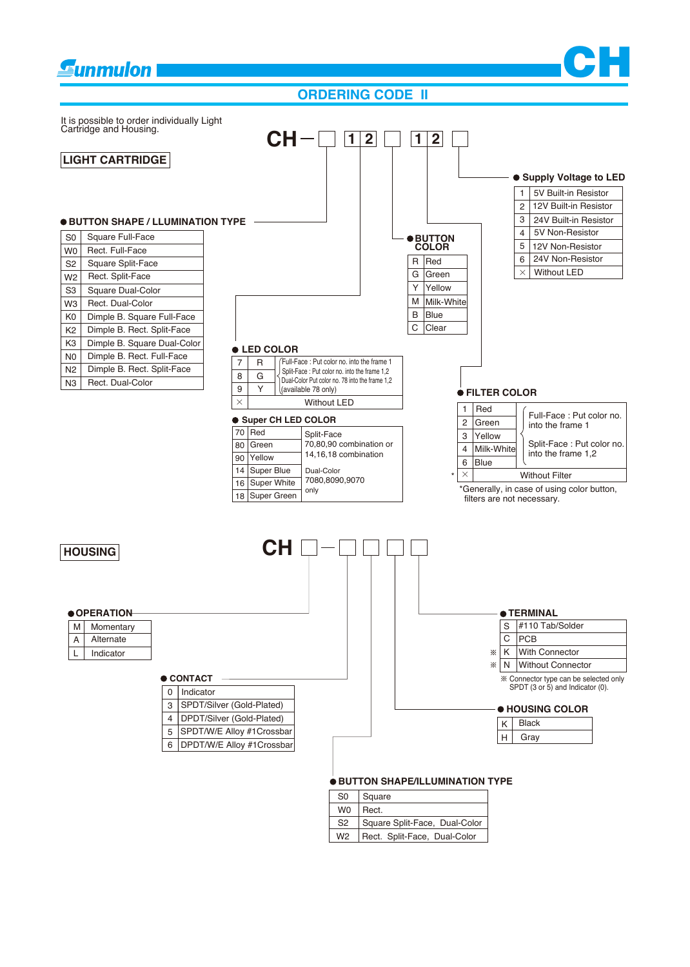#### **CH Eunmulon ORDERING CODE II**  It is possible to order individually Light Cartridge and Housing.  $CH - \Box 12 \Box 12$ **LIGHT CARTRIDGE**  $\bullet$  **Supply Voltage to LED** 5V Built-in Resistor 1  $\overline{2}$ 12V Built-in Resistor 3 24V Built-in Resistor **BUTTON SHAPE / LLUMINATION TYPE** 4 5V Non-Resistor S0 Square Full-Face **BUTTON COLOR** 5 12V Non-Resistor W0 Rect. Full-Face 6 24V Non-Resistor S2 Square Split-Face R Red Without LED  $\overline{G}$ Green  $\times$ W2 Rect. Split-Face Y Yellow Square Dual-Color S3 W3 Rect. Dual-Color M |Milk-White| K0 Dimple B. Square Full-Face B Blue C Clear  $K<sub>2</sub>$ Dimple B. Rect. Split-Face Dimple B. Square Dual-Color K3 **LED COLOR**  Dimple B. Rect. Full-Face  $N<sub>0</sub>$ Full-Face : Put color no. into the frame 1 7 R Dimple B. Rect. Split-Face N2 Split-Face : Put color no. into the frame 1,2 8 G Dual-Color Put color no. 78 into the frame 1,2 Rect. Dual-Color N3 9 Y (available 78 only) **FILTER COLOR**  $\overline{\times}$ Without LED 1 Red Full-Face : Put color no. **Super CH LED COLOR** 2 Green into the frame 1 Split-Face 3 Yellow 70 Red 70,80,90 combination or Split-Face : Put color no. 80 Green 4 Milk-White 14,16,18 combination into the frame 1,2 90 Yellow 6 Blue Dual-Color 14 Super Blue  $\times$ **Without Filter** 7080,8090,9070 16 Super White only \*Generally, in case of using color button, 18 Super Green filters are not necessary.  $CH$  $-1$ **HOUSING OPERATION TERMINAL** M Momentary S #110 Tab/Solder Alternate  $C$  PCB A K With Connector Indicator ☀ L  $\mathbb{X}$ N | Without Connector ● CONTACT Connector type can be selected only SPDT (3 or 5) and Indicator (0).0 | Indicator 3 SPDT/Silver (Gold-Plated) **HOUSING COLOR** 4 DPDT/Silver (Gold-Plated) K Black 5 SPDT/W/E Alloy #1Crossbar  $|H|$ Gray 6 DPDT/W/E Alloy #1Crossbar **BUTTON SHAPE/ILLUMINATION TYPE**

| S0  | Square                            |
|-----|-----------------------------------|
| W0. | Rect.                             |
| S2  | Square Split-Face, Dual-Color     |
|     | W2   Rect. Split-Face, Dual-Color |